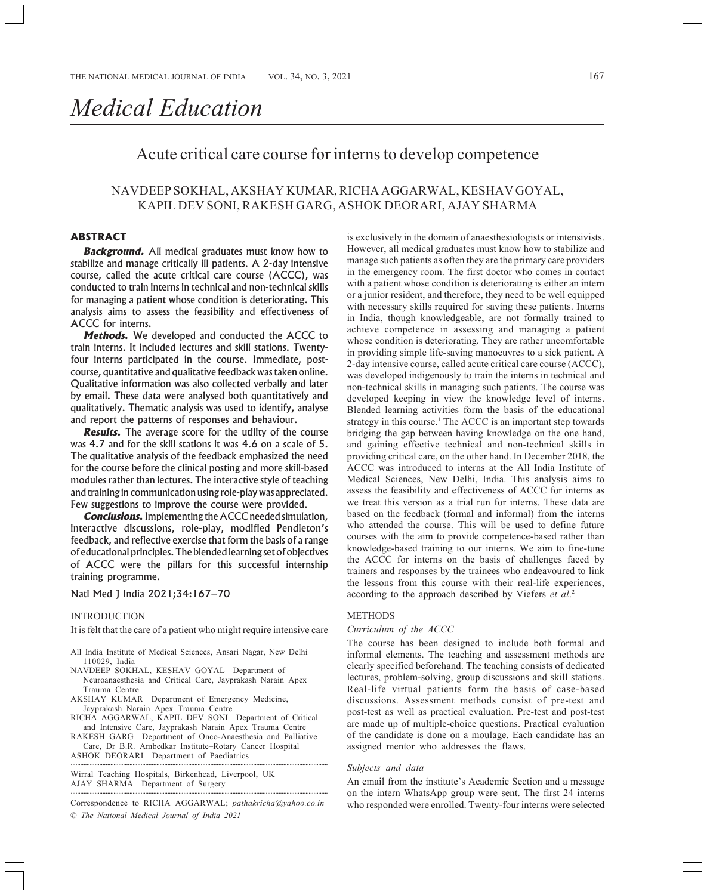# *Medical Education*

## Acute critical care course for interns to develop competence

### NAVDEEP SOKHAL, AKSHAY KUMAR, RICHA AGGARWAL, KESHAV GOYAL, KAPIL DEV SONI, RAKESH GARG, ASHOK DEORARI, AJAY SHARMA

#### **ABSTRACT**

**Background.** All medical graduates must know how to stabilize and manage critically ill patients. A 2-day intensive course, called the acute critical care course (ACCC), was conducted to train interns in technical and non-technical skills for managing a patient whose condition is deteriorating. This analysis aims to assess the feasibility and effectiveness of ACCC for interns.

**Methods.** We developed and conducted the ACCC to train interns. It included lectures and skill stations. Twentyfour interns participated in the course. Immediate, postcourse, quantitative and qualitative feedback was taken online. Qualitative information was also collected verbally and later by email. These data were analysed both quantitatively and qualitatively. Thematic analysis was used to identify, analyse and report the patterns of responses and behaviour.

**Results.** The average score for the utility of the course was 4.7 and for the skill stations it was 4.6 on a scale of 5. The qualitative analysis of the feedback emphasized the need for the course before the clinical posting and more skill-based modules rather than lectures. The interactive style of teaching and training in communication using role-play was appreciated. Few suggestions to improve the course were provided.

**Conclusions.** Implementing the ACCC needed simulation, interactive discussions, role-play, modified Pendleton's feedback, and reflective exercise that form the basis of a range of educational principles. The blended learning set of objectives of ACCC were the pillars for this successful internship training programme.

#### Natl Med J India 2021;34:167–70

#### INTRODUCTION

It is felt that the care of a patient who might require intensive care ———————————————————————————————

All India Institute of Medical Sciences, Ansari Nagar, New Delhi 110029, India

- NAVDEEP SOKHAL, KESHAV GOYAL Department of Neuroanaesthesia and Critical Care, Jayprakash Narain Apex Trauma Centre
- AKSHAY KUMAR Department of Emergency Medicine, Jayprakash Narain Apex Trauma Centre

RICHA AGGARWAL, KAPIL DEV SONI Department of Critical and Intensive Care, Jayprakash Narain Apex Trauma Centre

RAKESH GARG Department of Onco-Anaesthesia and Palliative Care, Dr B.R. Ambedkar Institute–Rotary Cancer Hospital

ASHOK DEORARI Department of Paediatrics ··································································································································································

Wirral Teaching Hospitals, Birkenhead, Liverpool, UK AJAY SHARMA Department of Surgery ··································································································································································

© *The National Medical Journal of India 2021* Correspondence to RICHA AGGARWAL; *pathakricha@yahoo.co.in*

is exclusively in the domain of anaesthesiologists or intensivists. However, all medical graduates must know how to stabilize and manage such patients as often they are the primary care providers in the emergency room. The first doctor who comes in contact with a patient whose condition is deteriorating is either an intern or a junior resident, and therefore, they need to be well equipped with necessary skills required for saving these patients. Interns in India, though knowledgeable, are not formally trained to achieve competence in assessing and managing a patient whose condition is deteriorating. They are rather uncomfortable in providing simple life-saving manoeuvres to a sick patient. A 2-day intensive course, called acute critical care course (ACCC), was developed indigenously to train the interns in technical and non-technical skills in managing such patients. The course was developed keeping in view the knowledge level of interns. Blended learning activities form the basis of the educational strategy in this course.<sup>1</sup> The ACCC is an important step towards bridging the gap between having knowledge on the one hand, and gaining effective technical and non-technical skills in providing critical care, on the other hand. In December 2018, the ACCC was introduced to interns at the All India Institute of Medical Sciences, New Delhi, India. This analysis aims to assess the feasibility and effectiveness of ACCC for interns as we treat this version as a trial run for interns. These data are based on the feedback (formal and informal) from the interns who attended the course. This will be used to define future courses with the aim to provide competence-based rather than knowledge-based training to our interns. We aim to fine-tune the ACCC for interns on the basis of challenges faced by trainers and responses by the trainees who endeavoured to link the lessons from this course with their real-life experiences, according to the approach described by Viefers *et al*. 2

#### METHODS

#### *Curriculum of the ACCC*

The course has been designed to include both formal and informal elements. The teaching and assessment methods are clearly specified beforehand. The teaching consists of dedicated lectures, problem-solving, group discussions and skill stations. Real-life virtual patients form the basis of case-based discussions. Assessment methods consist of pre-test and post-test as well as practical evaluation. Pre-test and post-test are made up of multiple-choice questions. Practical evaluation of the candidate is done on a moulage. Each candidate has an assigned mentor who addresses the flaws.

#### *Subjects and data*

An email from the institute's Academic Section and a message on the intern WhatsApp group were sent. The first 24 interns who responded were enrolled. Twenty-four interns were selected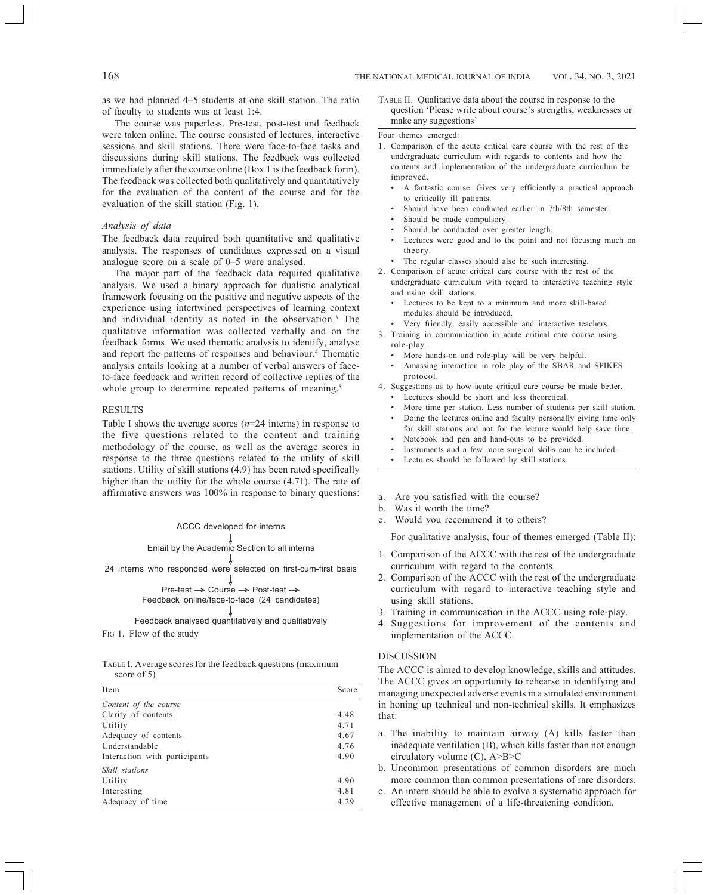as we had planned 4–5 students at one skill station. The ratio of faculty to students was at least 1:4.

The course was paperless. Pre-test, post-test and feedback were taken online. The course consisted of lectures, interactive sessions and skill stations. There were face-to-face tasks and discussions during skill stations. The feedback was collected immediately after the course online (Box 1 is the feedback form). The feedback was collected both qualitatively and quantitatively for the evaluation of the content of the course and for the evaluation of the skill station (Fig. 1).

#### *Analysis of data*

The feedback data required both quantitative and qualitative analysis. The responses of candidates expressed on a visual analogue score on a scale of 0–5 were analysed.

The major part of the feedback data required qualitative analysis. We used a binary approach for dualistic analytical framework focusing on the positive and negative aspects of the experience using intertwined perspectives of learning context and individual identity as noted in the observation.<sup>3</sup> The qualitative information was collected verbally and on the feedback forms. We used thematic analysis to identify, analyse and report the patterns of responses and behaviour.<sup>4</sup> Thematic analysis entails looking at a number of verbal answers of faceto-face feedback and written record of collective replies of the whole group to determine repeated patterns of meaning.<sup>5</sup>

#### RESULTS

Table I shows the average scores  $(n=24$  interns) in response to the five questions related to the content and training methodology of the course, as well as the average scores in response to the three questions related to the utility of skill stations. Utility of skill stations (4.9) has been rated specifically higher than the utility for the whole course  $(4.71)$ . The rate of affirmative answers was 100% in response to binary questions: a. Are you satisfied with the course?

#### ACCC developed for interns

Email by the Academic Section to all interns —>

24 interns who responded were selected on first-cum-first basis ↓

\n
$$
\downarrow
$$
\n  
\n Pre-test → Course → Post-test →  
\n Feedback online/face-to-face (24 candidates)\n

FIG 1. Flow of the study Feedback analysed quantitatively and qualitatively ↓

TABLE I. Average scores for the feedback questions (maximum score of 5)

| Item                          | Score |
|-------------------------------|-------|
| Content of the course         |       |
| Clarity of contents           | 4.48  |
| Utility                       | 4.71  |
| Adequacy of contents          | 4.67  |
| Understandable                | 4.76  |
| Interaction with participants | 4.90  |
| Skill stations                |       |
| Utility                       | 4.90  |
| Interesting                   | 4.81  |
| Adequacy of time              | 4.29  |

TABLE II. Qualitative data about the course in response to the question 'Please write about course's strengths, weaknesses or make any suggestions'

#### Four themes emerged:

- 1. Comparison of the acute critical care course with the rest of the undergraduate curriculum with regards to contents and how the contents and implementation of the undergraduate curriculum be improved.
	- A fantastic course. Gives very efficiently a practical approach to critically ill patients.
	- Should have been conducted earlier in 7th/8th semester.
	- Should be made compulsory.
	- Should be conducted over greater length.
	- Lectures were good and to the point and not focusing much on theory.
	- The regular classes should also be such interesting.
- 2. Comparison of acute critical care course with the rest of the undergraduate curriculum with regard to interactive teaching style and using skill stations.
	- Lectures to be kept to a minimum and more skill-based modules should be introduced.
	- Very friendly, easily accessible and interactive teachers.
- 3. Training in communication in acute critical care course using role-play.
	- More hands-on and role-play will be very helpful.
	- Amassing interaction in role play of the SBAR and SPIKES protocol.
- 4. Suggestions as to how acute critical care course be made better.
	- Lectures should be short and less theoretical.
	- More time per station. Less number of students per skill station.
	- Doing the lectures online and faculty personally giving time only for skill stations and not for the lecture would help save time.
	- Notebook and pen and hand-outs to be provided.
	- Instruments and a few more surgical skills can be included.
	- Lectures should be followed by skill stations.
- 
- b. Was it worth the time?
- c. Would you recommend it to others?

For qualitative analysis, four of themes emerged (Table II):

- 1. Comparison of the ACCC with the rest of the undergraduate curriculum with regard to the contents.
- 2. Comparison of the ACCC with the rest of the undergraduate curriculum with regard to interactive teaching style and using skill stations.
- 3. Training in communication in the ACCC using role-play.
- 4. Suggestions for improvement of the contents and implementation of the ACCC.

#### DISCUSSION

The ACCC is aimed to develop knowledge, skills and attitudes. The ACCC gives an opportunity to rehearse in identifying and managing unexpected adverse events in a simulated environment in honing up technical and non-technical skills. It emphasizes that:

- a. The inability to maintain airway (A) kills faster than inadequate ventilation (B), which kills faster than not enough circulatory volume (C). A>B>C
- b. Uncommon presentations of common disorders are much more common than common presentations of rare disorders.
- c. An intern should be able to evolve a systematic approach for effective management of a life-threatening condition.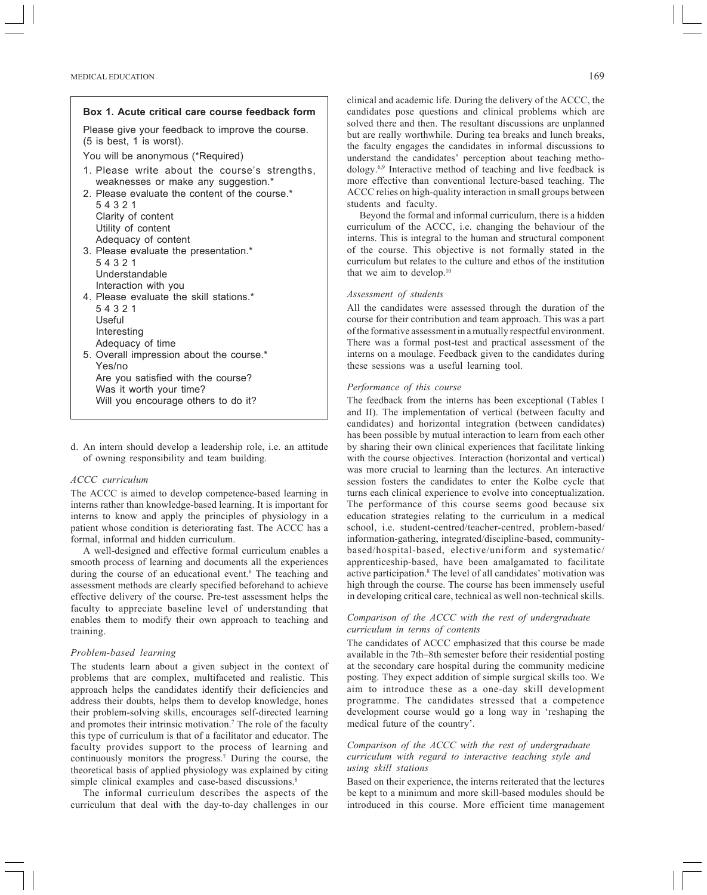| Box 1. Acute critical care course feedback form                                                                                                 |
|-------------------------------------------------------------------------------------------------------------------------------------------------|
| Please give your feedback to improve the course.<br>(5 is best, 1 is worst).                                                                    |
| You will be anonymous (*Required)                                                                                                               |
| 1. Please write about the course's strengths,<br>weaknesses or make any suggestion.*<br>2. Please evaluate the content of the course.*<br>54321 |
| Clarity of content<br>Utility of content<br>Adequacy of content                                                                                 |
| 3. Please evaluate the presentation.*<br>54321<br>Understandable                                                                                |
| Interaction with you<br>4. Please evaluate the skill stations.*<br>54321                                                                        |
| Useful<br>Interesting                                                                                                                           |
| Adequacy of time<br>5. Overall impression about the course.*<br>Yes/no                                                                          |
| Are you satisfied with the course?                                                                                                              |
| Was it worth your time?<br>Will you encourage others to do it?                                                                                  |

d. An intern should develop a leadership role, i.e. an attitude of owning responsibility and team building.

#### *ACCC curriculum*

The ACCC is aimed to develop competence-based learning in interns rather than knowledge-based learning. It is important for interns to know and apply the principles of physiology in a patient whose condition is deteriorating fast. The ACCC has a formal, informal and hidden curriculum.

A well-designed and effective formal curriculum enables a smooth process of learning and documents all the experiences during the course of an educational event.<sup>6</sup> The teaching and assessment methods are clearly specified beforehand to achieve effective delivery of the course. Pre-test assessment helps the faculty to appreciate baseline level of understanding that enables them to modify their own approach to teaching and training.

#### *Problem-based learning*

The students learn about a given subject in the context of problems that are complex, multifaceted and realistic. This approach helps the candidates identify their deficiencies and address their doubts, helps them to develop knowledge, hones their problem-solving skills, encourages self-directed learning and promotes their intrinsic motivation.<sup>7</sup> The role of the faculty this type of curriculum is that of a facilitator and educator. The faculty provides support to the process of learning and continuously monitors the progress.7 During the course, the theoretical basis of applied physiology was explained by citing simple clinical examples and case-based discussions.<sup>8</sup>

The informal curriculum describes the aspects of the curriculum that deal with the day-to-day challenges in our

clinical and academic life. During the delivery of the ACCC, the candidates pose questions and clinical problems which are solved there and then. The resultant discussions are unplanned but are really worthwhile. During tea breaks and lunch breaks, the faculty engages the candidates in informal discussions to understand the candidates' perception about teaching methodology.6,9 Interactive method of teaching and live feedback is more effective than conventional lecture-based teaching. The ACCC relies on high-quality interaction in small groups between students and faculty.

Beyond the formal and informal curriculum, there is a hidden curriculum of the ACCC, i.e. changing the behaviour of the interns. This is integral to the human and structural component of the course. This objective is not formally stated in the curriculum but relates to the culture and ethos of the institution that we aim to develop. $10$ 

#### *Assessment of students*

All the candidates were assessed through the duration of the course for their contribution and team approach. This was a part of the formative assessment in a mutually respectful environment. There was a formal post-test and practical assessment of the interns on a moulage. Feedback given to the candidates during these sessions was a useful learning tool.

#### *Performance of this course*

The feedback from the interns has been exceptional (Tables I and II). The implementation of vertical (between faculty and candidates) and horizontal integration (between candidates) has been possible by mutual interaction to learn from each other by sharing their own clinical experiences that facilitate linking with the course objectives. Interaction (horizontal and vertical) was more crucial to learning than the lectures. An interactive session fosters the candidates to enter the Kolbe cycle that turns each clinical experience to evolve into conceptualization. The performance of this course seems good because six education strategies relating to the curriculum in a medical school, i.e. student-centred/teacher-centred, problem-based/ information-gathering, integrated/discipline-based, communitybased/hospital-based, elective/uniform and systematic/ apprenticeship-based, have been amalgamated to facilitate active participation.8 The level of all candidates' motivation was high through the course. The course has been immensely useful in developing critical care, technical as well non-technical skills.

#### *Comparison of the ACCC with the rest of undergraduate curriculum in terms of contents*

The candidates of ACCC emphasized that this course be made available in the 7th–8th semester before their residential posting at the secondary care hospital during the community medicine posting. They expect addition of simple surgical skills too. We aim to introduce these as a one-day skill development programme. The candidates stressed that a competence development course would go a long way in 'reshaping the medical future of the country'.

#### *Comparison of the ACCC with the rest of undergraduate curriculum with regard to interactive teaching style and using skill stations*

Based on their experience, the interns reiterated that the lectures be kept to a minimum and more skill-based modules should be introduced in this course. More efficient time management